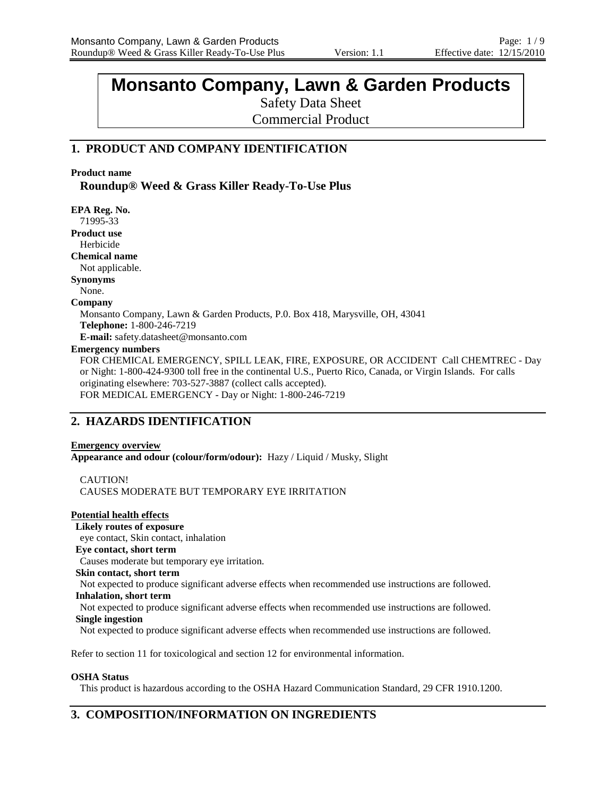# **Monsanto Company, Lawn & Garden Products**

Safety Data Sheet Commercial Product

# **1. PRODUCT AND COMPANY IDENTIFICATION**

## **Product name**

**Roundup® Weed & Grass Killer Ready-To-Use Plus**

**EPA Reg. No.** 71995-33 **Product use** Herbicide **Chemical name** Not applicable. **Synonyms** None. **Company** Monsanto Company, Lawn & Garden Products, P.0. Box 418, Marysville, OH, 43041 **Telephone:** 1-800-246-7219 **E-mail:** safety.datasheet@monsanto.com **Emergency numbers** FOR CHEMICAL EMERGENCY, SPILL LEAK, FIRE, EXPOSURE, OR ACCIDENT Call CHEMTREC - Day or Night: 1-800-424-9300 toll free in the continental U.S., Puerto Rico, Canada, or Virgin Islands. For calls originating elsewhere: 703-527-3887 (collect calls accepted). FOR MEDICAL EMERGENCY - Day or Night: 1-800-246-7219

# **2. HAZARDS IDENTIFICATION**

# **Emergency overview**

**Appearance and odour (colour/form/odour):** Hazy / Liquid / Musky, Slight

CAUTION! CAUSES MODERATE BUT TEMPORARY EYE IRRITATION

# **Potential health effects**

**Likely routes of exposure**

eye contact, Skin contact, inhalation

# **Eye contact, short term**

Causes moderate but temporary eye irritation.

**Skin contact, short term**

Not expected to produce significant adverse effects when recommended use instructions are followed.

## **Inhalation, short term**

Not expected to produce significant adverse effects when recommended use instructions are followed. **Single ingestion**

Not expected to produce significant adverse effects when recommended use instructions are followed.

Refer to section 11 for toxicological and section 12 for environmental information.

## **OSHA Status**

This product is hazardous according to the OSHA Hazard Communication Standard, 29 CFR 1910.1200.

# **3. COMPOSITION/INFORMATION ON INGREDIENTS**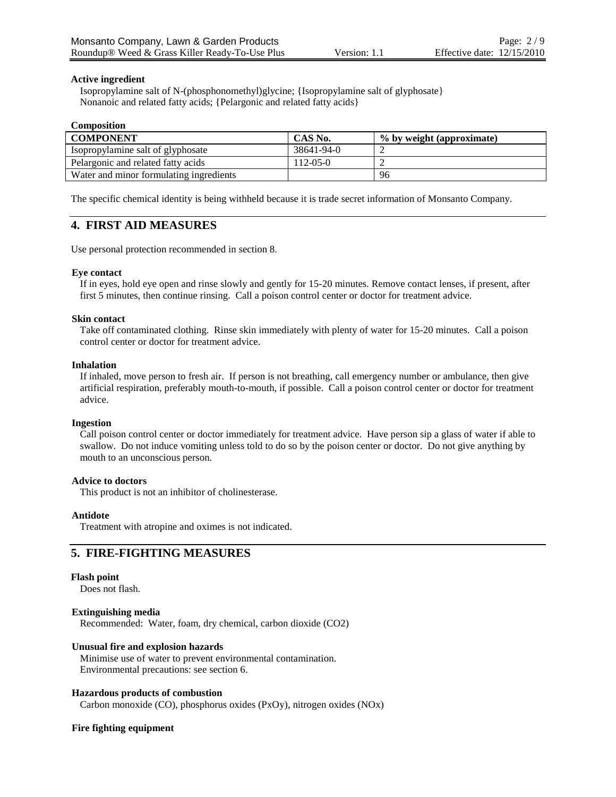## **Active ingredient**

Isopropylamine salt of N-(phosphonomethyl)glycine; {Isopropylamine salt of glyphosate} Nonanoic and related fatty acids; {Pelargonic and related fatty acids}

#### **Composition**

| <b>COMPONENT</b>                        | CAS No.        | % by weight (approximate) |
|-----------------------------------------|----------------|---------------------------|
| Isopropylamine salt of glyphosate       | 38641-94-0     |                           |
| Pelargonic and related fatty acids      | $112 - 05 - 0$ |                           |
| Water and minor formulating ingredients |                | 96                        |

The specific chemical identity is being withheld because it is trade secret information of Monsanto Company.

# **4. FIRST AID MEASURES**

Use personal protection recommended in section 8.

## **Eye contact**

If in eyes, hold eye open and rinse slowly and gently for 15-20 minutes. Remove contact lenses, if present, after first 5 minutes, then continue rinsing. Call a poison control center or doctor for treatment advice.

## **Skin contact**

Take off contaminated clothing. Rinse skin immediately with plenty of water for 15-20 minutes. Call a poison control center or doctor for treatment advice.

## **Inhalation**

If inhaled, move person to fresh air. If person is not breathing, call emergency number or ambulance, then give artificial respiration, preferably mouth-to-mouth, if possible. Call a poison control center or doctor for treatment advice.

## **Ingestion**

Call poison control center or doctor immediately for treatment advice. Have person sip a glass of water if able to swallow. Do not induce vomiting unless told to do so by the poison center or doctor. Do not give anything by mouth to an unconscious person.

## **Advice to doctors**

This product is not an inhibitor of cholinesterase.

## **Antidote**

Treatment with atropine and oximes is not indicated.

# **5. FIRE-FIGHTING MEASURES**

## **Flash point**

Does not flash.

## **Extinguishing media**

Recommended: Water, foam, dry chemical, carbon dioxide (CO2)

## **Unusual fire and explosion hazards**

Minimise use of water to prevent environmental contamination. Environmental precautions: see section 6.

## **Hazardous products of combustion**

Carbon monoxide (CO), phosphorus oxides (PxOy), nitrogen oxides (NOx)

## **Fire fighting equipment**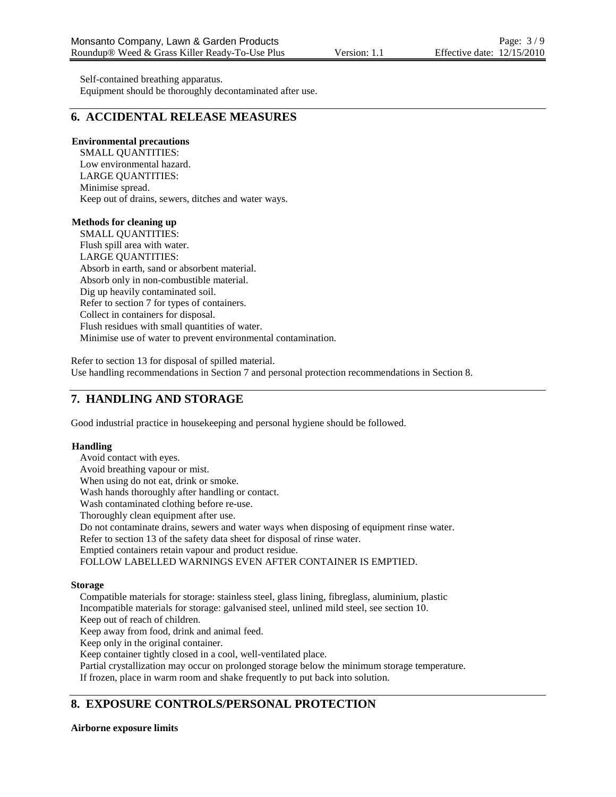Self-contained breathing apparatus. Equipment should be thoroughly decontaminated after use.

# **6. ACCIDENTAL RELEASE MEASURES**

## **Environmental precautions**

SMALL QUANTITIES: Low environmental hazard. LARGE QUANTITIES: Minimise spread. Keep out of drains, sewers, ditches and water ways.

## **Methods for cleaning up**

SMALL QUANTITIES: Flush spill area with water. LARGE QUANTITIES: Absorb in earth, sand or absorbent material. Absorb only in non-combustible material. Dig up heavily contaminated soil. Refer to section 7 for types of containers. Collect in containers for disposal. Flush residues with small quantities of water. Minimise use of water to prevent environmental contamination.

Refer to section 13 for disposal of spilled material. Use handling recommendations in Section 7 and personal protection recommendations in Section 8.

# **7. HANDLING AND STORAGE**

Good industrial practice in housekeeping and personal hygiene should be followed.

## **Handling**

Avoid contact with eyes.

Avoid breathing vapour or mist.

When using do not eat, drink or smoke.

Wash hands thoroughly after handling or contact.

Wash contaminated clothing before re-use.

Thoroughly clean equipment after use.

Do not contaminate drains, sewers and water ways when disposing of equipment rinse water.

Refer to section 13 of the safety data sheet for disposal of rinse water.

Emptied containers retain vapour and product residue.

FOLLOW LABELLED WARNINGS EVEN AFTER CONTAINER IS EMPTIED.

## **Storage**

Compatible materials for storage: stainless steel, glass lining, fibreglass, aluminium, plastic Incompatible materials for storage: galvanised steel, unlined mild steel, see section 10.

Keep out of reach of children.

Keep away from food, drink and animal feed.

Keep only in the original container.

Keep container tightly closed in a cool, well-ventilated place.

Partial crystallization may occur on prolonged storage below the minimum storage temperature. If frozen, place in warm room and shake frequently to put back into solution.

# **8. EXPOSURE CONTROLS/PERSONAL PROTECTION**

**Airborne exposure limits**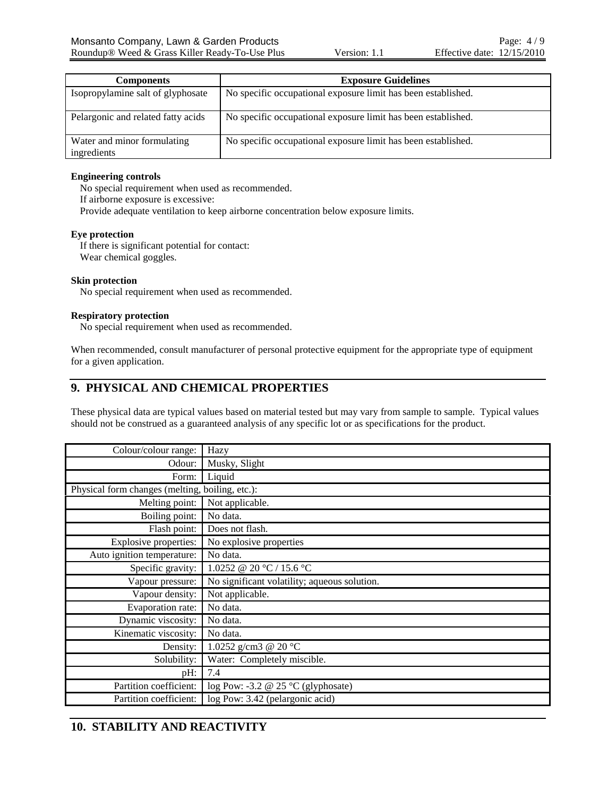| <b>Components</b>                          | <b>Exposure Guidelines</b>                                    |  |  |
|--------------------------------------------|---------------------------------------------------------------|--|--|
| Isopropylamine salt of glyphosate          | No specific occupational exposure limit has been established. |  |  |
| Pelargonic and related fatty acids         | No specific occupational exposure limit has been established. |  |  |
| Water and minor formulating<br>ingredients | No specific occupational exposure limit has been established. |  |  |

# **Engineering controls**

No special requirement when used as recommended.

If airborne exposure is excessive:

Provide adequate ventilation to keep airborne concentration below exposure limits.

# **Eye protection**

If there is significant potential for contact: Wear chemical goggles.

# **Skin protection**

No special requirement when used as recommended.

# **Respiratory protection**

No special requirement when used as recommended.

When recommended, consult manufacturer of personal protective equipment for the appropriate type of equipment for a given application.

# **9. PHYSICAL AND CHEMICAL PROPERTIES**

These physical data are typical values based on material tested but may vary from sample to sample. Typical values should not be construed as a guaranteed analysis of any specific lot or as specifications for the product.

| Colour/colour range:                            | Hazy                                         |
|-------------------------------------------------|----------------------------------------------|
| Odour:                                          | Musky, Slight                                |
| Form:                                           | Liquid                                       |
| Physical form changes (melting, boiling, etc.): |                                              |
| Melting point:                                  | Not applicable.                              |
| Boiling point:                                  | No data.                                     |
| Flash point:                                    | Does not flash.                              |
| <b>Explosive properties:</b>                    | No explosive properties                      |
| Auto ignition temperature:                      | No data.                                     |
| Specific gravity:                               | 1.0252 @ 20 °C / 15.6 °C                     |
| Vapour pressure:                                | No significant volatility; aqueous solution. |
| Vapour density:                                 | Not applicable.                              |
| Evaporation rate:                               | No data.                                     |
| Dynamic viscosity:                              | No data.                                     |
| Kinematic viscosity:                            | No data.                                     |
| Density:                                        | 1.0252 g/cm3 @ 20 $^{\circ}$ C               |
| Solubility:                                     | Water: Completely miscible.                  |
| pH:                                             | 7.4                                          |
| Partition coefficient:                          | log Pow: -3.2 @ 25 $\degree$ C (glyphosate)  |
| Partition coefficient:                          | log Pow: 3.42 (pelargonic acid)              |

# **10. STABILITY AND REACTIVITY**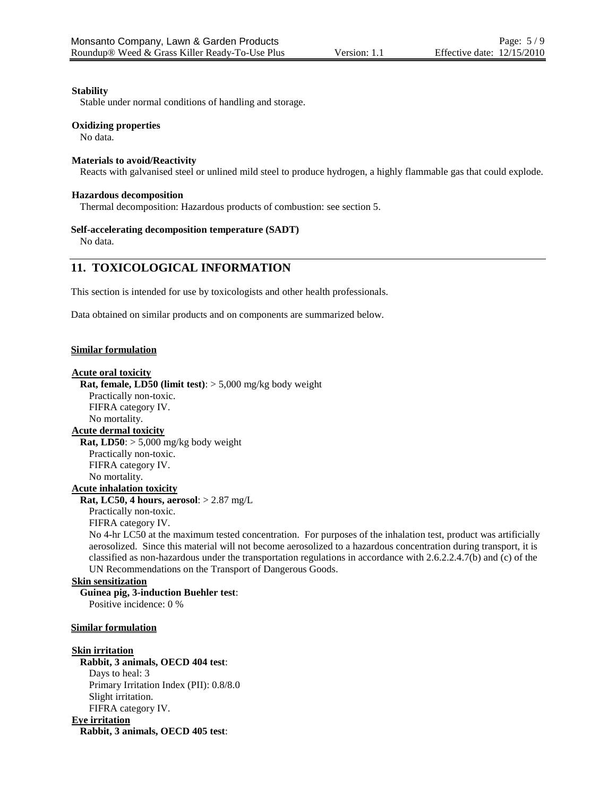## **Stability**

Stable under normal conditions of handling and storage.

## **Oxidizing properties**

No data.

## **Materials to avoid/Reactivity**

Reacts with galvanised steel or unlined mild steel to produce hydrogen, a highly flammable gas that could explode.

## **Hazardous decomposition**

Thermal decomposition: Hazardous products of combustion: see section 5.

## **Self-accelerating decomposition temperature (SADT)**

No data.

# **11. TOXICOLOGICAL INFORMATION**

This section is intended for use by toxicologists and other health professionals.

Data obtained on similar products and on components are summarized below.

## **Similar formulation**

# **Acute oral toxicity**

**Rat, female, LD50 (limit test)**: > 5,000 mg/kg body weight

Practically non-toxic.

FIFRA category IV. No mortality.

**Acute dermal toxicity**

**Rat, LD50**: > 5,000 mg/kg body weight Practically non-toxic. FIFRA category IV. No mortality.

# **Acute inhalation toxicity**

**Rat, LC50, 4 hours, aerosol**: > 2.87 mg/L Practically non-toxic.

FIFRA category IV.

No 4-hr LC50 at the maximum tested concentration. For purposes of the inhalation test, product was artificially aerosolized. Since this material will not become aerosolized to a hazardous concentration during transport, it is classified as non-hazardous under the transportation regulations in accordance with 2.6.2.2.4.7(b) and (c) of the UN Recommendations on the Transport of Dangerous Goods.

# **Skin sensitization**

**Guinea pig, 3-induction Buehler test**: Positive incidence: 0 %

## **Similar formulation**

## **Skin irritation**

**Rabbit, 3 animals, OECD 404 test**: Days to heal: 3 Primary Irritation Index (PII): 0.8/8.0 Slight irritation. FIFRA category IV.

**Eye irritation**

**Rabbit, 3 animals, OECD 405 test**: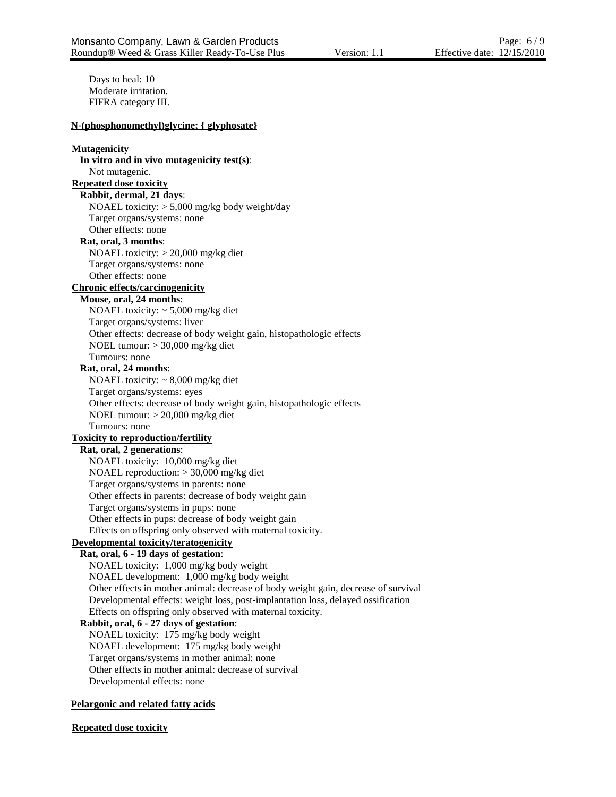Days to heal: 10 Moderate irritation. FIFRA category III. **N-(phosphonomethyl)glycine; { glyphosate} Mutagenicity In vitro and in vivo mutagenicity test(s)**: Not mutagenic. **Repeated dose toxicity Rabbit, dermal, 21 days**: NOAEL toxicity: > 5,000 mg/kg body weight/day Target organs/systems: none Other effects: none **Rat, oral, 3 months**: NOAEL toxicity: > 20,000 mg/kg diet Target organs/systems: none Other effects: none **Chronic effects/carcinogenicity Mouse, oral, 24 months**: NOAEL toxicity: ~ 5,000 mg/kg diet Target organs/systems: liver Other effects: decrease of body weight gain, histopathologic effects NOEL tumour: > 30,000 mg/kg diet Tumours: none **Rat, oral, 24 months**: NOAEL toxicity:  $\sim 8,000$  mg/kg diet Target organs/systems: eyes Other effects: decrease of body weight gain, histopathologic effects NOEL tumour: > 20,000 mg/kg diet Tumours: none **Toxicity to reproduction/fertility Rat, oral, 2 generations**: NOAEL toxicity: 10,000 mg/kg diet NOAEL reproduction: > 30,000 mg/kg diet Target organs/systems in parents: none Other effects in parents: decrease of body weight gain Target organs/systems in pups: none Other effects in pups: decrease of body weight gain Effects on offspring only observed with maternal toxicity. **Developmental toxicity/teratogenicity Rat, oral, 6 - 19 days of gestation**: NOAEL toxicity: 1,000 mg/kg body weight NOAEL development: 1,000 mg/kg body weight Other effects in mother animal: decrease of body weight gain, decrease of survival Developmental effects: weight loss, post-implantation loss, delayed ossification Effects on offspring only observed with maternal toxicity. **Rabbit, oral, 6 - 27 days of gestation**: NOAEL toxicity: 175 mg/kg body weight NOAEL development: 175 mg/kg body weight Target organs/systems in mother animal: none Other effects in mother animal: decrease of survival Developmental effects: none

## **Pelargonic and related fatty acids**

**Repeated dose toxicity**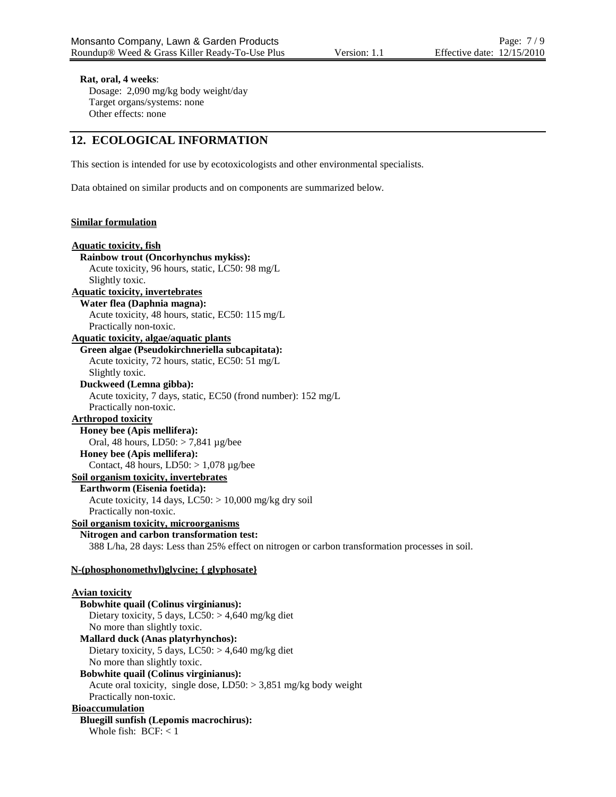# **Rat, oral, 4 weeks**:

Dosage: 2,090 mg/kg body weight/day Target organs/systems: none Other effects: none

# **12. ECOLOGICAL INFORMATION**

This section is intended for use by ecotoxicologists and other environmental specialists.

Data obtained on similar products and on components are summarized below.

# **Similar formulation**

| <b>Aquatic toxicity, fish</b>                                                                   |
|-------------------------------------------------------------------------------------------------|
| Rainbow trout (Oncorhynchus mykiss):                                                            |
| Acute toxicity, 96 hours, static, LC50: 98 mg/L                                                 |
| Slightly toxic.                                                                                 |
| <b>Aquatic toxicity, invertebrates</b>                                                          |
| Water flea (Daphnia magna):                                                                     |
| Acute toxicity, 48 hours, static, EC50: 115 mg/L                                                |
| Practically non-toxic.                                                                          |
| <b>Aquatic toxicity, algae/aquatic plants</b>                                                   |
| Green algae (Pseudokirchneriella subcapitata):                                                  |
| Acute toxicity, 72 hours, static, EC50: 51 mg/L                                                 |
| Slightly toxic.                                                                                 |
| Duckweed (Lemna gibba):                                                                         |
| Acute toxicity, 7 days, static, EC50 (frond number): 152 mg/L                                   |
| Practically non-toxic.                                                                          |
| <b>Arthropod toxicity</b>                                                                       |
| Honey bee (Apis mellifera):                                                                     |
| Oral, 48 hours, LD50: > 7,841 µg/bee                                                            |
| Honey bee (Apis mellifera):                                                                     |
| Contact, 48 hours, $LD50$ : > 1,078 µg/bee                                                      |
| Soil organism toxicity, invertebrates                                                           |
| Earthworm (Eisenia foetida):                                                                    |
| Acute toxicity, 14 days, LC50: > 10,000 mg/kg dry soil                                          |
| Practically non-toxic.                                                                          |
| Soil organism toxicity, microorganisms                                                          |
| Nitrogen and carbon transformation test:                                                        |
| 388 L/ha, 28 days: Less than 25% effect on nitrogen or carbon transformation processes in soil. |
| N-(phosphonomethyl)glycine; { glyphosate}                                                       |
| <b>Avian toxicity</b>                                                                           |
| <b>Bobwhite quail (Colinus virginianus):</b>                                                    |
| Dietary toxicity, 5 days, $LC50$ : > 4,640 mg/kg diet                                           |
| No more than slightly toxic.                                                                    |
| Mallard duck (Anas platyrhynchos):                                                              |
| Dietary toxicity, 5 days, $LC50$ : > 4,640 mg/kg diet                                           |
| No more than slightly toxic.                                                                    |
| <b>Bobwhite quail (Colinus virginianus):</b>                                                    |
| Acute oral toxicity, single dose, $LD50$ : > 3,851 mg/kg body weight                            |
| Practically non-toxic.                                                                          |
| <b>Bioaccumulation</b>                                                                          |
| <b>Bluegill sunfish (Lepomis macrochirus):</b>                                                  |
| Whole fish: $BCF: < 1$                                                                          |
|                                                                                                 |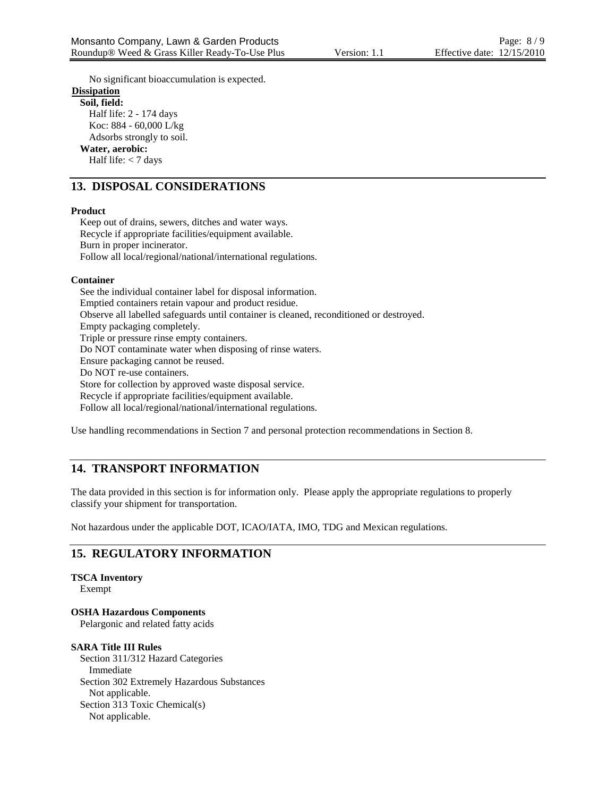No significant bioaccumulation is expected. **Dissipation Soil, field:** Half life: 2 - 174 days Koc: 884 - 60,000 L/kg Adsorbs strongly to soil. **Water, aerobic:** Half life: < 7 days

# **13. DISPOSAL CONSIDERATIONS**

## **Product**

Keep out of drains, sewers, ditches and water ways. Recycle if appropriate facilities/equipment available. Burn in proper incinerator. Follow all local/regional/national/international regulations.

# **Container**

See the individual container label for disposal information. Emptied containers retain vapour and product residue. Observe all labelled safeguards until container is cleaned, reconditioned or destroyed. Empty packaging completely. Triple or pressure rinse empty containers. Do NOT contaminate water when disposing of rinse waters. Ensure packaging cannot be reused. Do NOT re-use containers. Store for collection by approved waste disposal service. Recycle if appropriate facilities/equipment available. Follow all local/regional/national/international regulations.

Use handling recommendations in Section 7 and personal protection recommendations in Section 8.

# **14. TRANSPORT INFORMATION**

The data provided in this section is for information only. Please apply the appropriate regulations to properly classify your shipment for transportation.

Not hazardous under the applicable DOT, ICAO/IATA, IMO, TDG and Mexican regulations.

# **15. REGULATORY INFORMATION**

# **TSCA Inventory**

Exempt

**OSHA Hazardous Components** Pelargonic and related fatty acids

# **SARA Title III Rules**

Section 311/312 Hazard Categories Immediate Section 302 Extremely Hazardous Substances Not applicable. Section 313 Toxic Chemical(s) Not applicable.